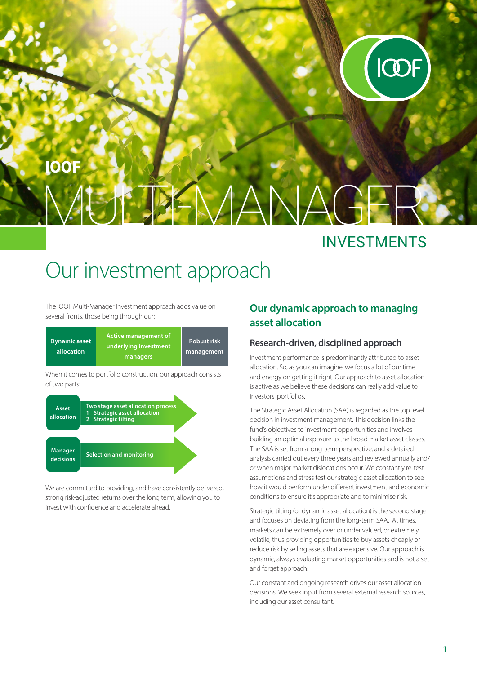

# $\mathbb{E} \mathbb{E} \mathbb{E} \mathbb{M}$ IOOF

### INVESTMENTS

## Our investment approach

The IOOF Multi-Manager Investment approach adds value on several fronts, those being through our:

| <b>Dynamic asset</b><br>allocation | <b>Active management of</b><br>underlying investment'<br>managers | <b>Robust risk</b><br>management |
|------------------------------------|-------------------------------------------------------------------|----------------------------------|
|------------------------------------|-------------------------------------------------------------------|----------------------------------|

When it comes to portfolio construction, our approach consists of two parts:



We are committed to providing, and have consistently delivered, strong risk-adjusted returns over the long term, allowing you to invest with confidence and accelerate ahead.

#### **Our dynamic approach to managing asset allocation**

#### **Research-driven, disciplined approach**

Investment performance is predominantly attributed to asset allocation. So, as you can imagine, we focus a lot of our time and energy on getting it right. Our approach to asset allocation is active as we believe these decisions can really add value to investors' portfolios.

The Strategic Asset Allocation (SAA) is regarded as the top level decision in investment management. This decision links the fund's objectives to investment opportunities and involves building an optimal exposure to the broad market asset classes. The SAA is set from a long-term perspective, and a detailed analysis carried out every three years and reviewed annually and/ or when major market dislocations occur. We constantly re-test assumptions and stress test our strategic asset allocation to see how it would perform under different investment and economic conditions to ensure it's appropriate and to minimise risk.

Strategic tilting (or dynamic asset allocation) is the second stage and focuses on deviating from the long-term SAA. At times, markets can be extremely over or under valued, or extremely volatile, thus providing opportunities to buy assets cheaply or reduce risk by selling assets that are expensive. Our approach is dynamic, always evaluating market opportunities and is not a set and forget approach.

Our constant and ongoing research drives our asset allocation decisions. We seek input from several external research sources, including our asset consultant.